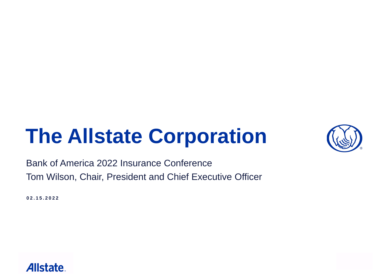# **The Allstate Corporation**



Bank of America 2022 Insurance Conference Tom Wilson, Chair, President and Chief Executive Officer

**0 2 . 1 5 . 2 0 2 2**

#### Allstate.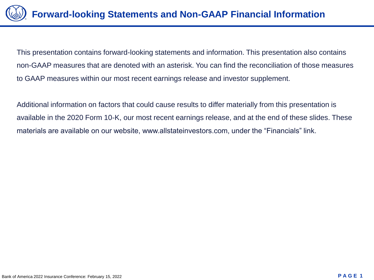This presentation contains forward-looking statements and information. This presentation also contains non-GAAP measures that are denoted with an asterisk. You can find the reconciliation of those measures to GAAP measures within our most recent earnings release and investor supplement.

Additional information on factors that could cause results to differ materially from this presentation is available in the 2020 Form 10-K, our most recent earnings release, and at the end of these slides. These materials are available on our website, www.allstateinvestors.com, under the "Financials" link.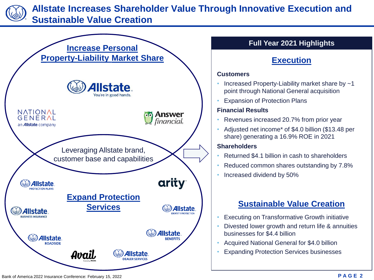

**Allstate Increases Shareholder Value Through Innovative Execution and Sustainable Value Creation**

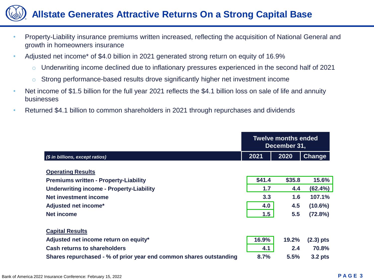### **Allstate Generates Attractive Returns On a Strong Capital Base**

- Property-Liability insurance premiums written increased, reflecting the acquisition of National General and growth in homeowners insurance
- Adjusted net income\* of \$4.0 billion in 2021 generated strong return on equity of 16.9%
	- o Underwriting income declined due to inflationary pressures experienced in the second half of 2021
	- o Strong performance-based results drove significantly higher net investment income
- Net income of \$1.5 billion for the full year 2021 reflects the \$4.1 billion loss on sale of life and annuity businesses
- Returned \$4.1 billion to common shareholders in 2021 through repurchases and dividends

|                                                                    | <b>Twelve months ended</b><br>December 31, |        |               |
|--------------------------------------------------------------------|--------------------------------------------|--------|---------------|
| (\$ in billions, except ratios)                                    | 2021                                       | 2020   | <b>Change</b> |
| <b>Operating Results</b>                                           |                                            |        |               |
| <b>Premiums written - Property-Liability</b>                       | \$41.4                                     | \$35.8 | 15.6%         |
| <b>Underwriting income - Property-Liability</b>                    | 1.7                                        | 4.4    | $(62.4\%)$    |
| Net investment income                                              | 3.3                                        | 1.6    | 107.1%        |
| Adjusted net income*                                               | 4.0                                        | 4.5    | $(10.6\%)$    |
| <b>Net income</b>                                                  | 1.5                                        | 5.5    | $(72.8\%)$    |
| <b>Capital Results</b>                                             |                                            |        |               |
| Adjusted net income return on equity*                              | 16.9%                                      | 19.2%  | $(2.3)$ pts   |
| <b>Cash returns to shareholders</b>                                | 4.1                                        | 2.4    | 70.8%         |
| Shares repurchased - % of prior year end common shares outstanding | 8.7%                                       | 5.5%   | 3.2 pts       |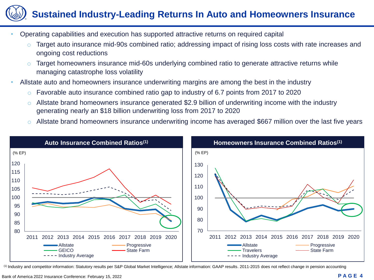### **Sustained Industry-Leading Returns In Auto and Homeowners Insurance**

- Operating capabilities and execution has supported attractive returns on required capital
	- o Target auto insurance mid-90s combined ratio; addressing impact of rising loss costs with rate increases and ongoing cost reductions
	- $\circ$  Target homeowners insurance mid-60s underlying combined ratio to generate attractive returns while managing catastrophe loss volatility
- Allstate auto and homeowners insurance underwriting margins are among the best in the industry
	- o Favorable auto insurance combined ratio gap to industry of 6.7 points from 2017 to 2020
	- o Allstate brand homeowners insurance generated \$2.9 billion of underwriting income with the industry generating nearly an \$18 billion underwriting loss from 2017 to 2020
	- Allstate brand homeowners insurance underwriting income has averaged \$667 million over the last five years



(1) Industry and competitor information: Statutory results per S&P Global Market Intelligence; Allstate information: GAAP results. 2011-2015 does not reflect change in pension accounting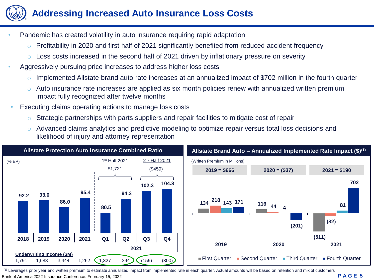### **Addressing Increased Auto Insurance Loss Costs**

- Pandemic has created volatility in auto insurance requiring rapid adaptation
	- $\circ$  Profitability in 2020 and first half of 2021 significantly benefited from reduced accident frequency
	- $\circ$  Loss costs increased in the second half of 2021 driven by inflationary pressure on severity
- Aggressively pursuing price increases to address higher loss costs
	- $\circ$  Implemented Allstate brand auto rate increases at an annualized impact of \$702 million in the fourth quarter
	- $\circ$  Auto insurance rate increases are applied as six month policies renew with annualized written premium impact fully recognized after twelve months
- Executing claims operating actions to manage loss costs
	- Strategic partnerships with parts suppliers and repair facilities to mitigate cost of repair
	- o Advanced claims analytics and predictive modeling to optimize repair versus total loss decisions and likelihood of injury and attorney representation



Bank of America 2022 Insurance Conference: February 15, 2022 **P A G E 5** (1) Leverages prior year end written premium to estimate annualized impact from implemented rate in each quarter. Actual amounts will be based on retention and mix of customers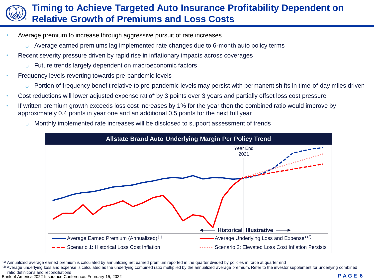#### **Timing to Achieve Targeted Auto Insurance Profitability Dependent on Relative Growth of Premiums and Loss Costs**

- Average premium to increase through aggressive pursuit of rate increases
	- $\circ$  Average earned premiums lag implemented rate changes due to 6-month auto policy terms
- Recent severity pressure driven by rapid rise in inflationary impacts across coverages
	- o Future trends largely dependent on macroeconomic factors
- Frequency levels reverting towards pre-pandemic levels
	- $\circ$  Portion of frequency benefit relative to pre-pandemic levels may persist with permanent shifts in time-of-day miles driven
- Cost reductions will lower adjusted expense ratio\* by 3 points over 3 years and partially offset loss cost pressure
- If written premium growth exceeds loss cost increases by 1% for the year then the combined ratio would improve by approximately 0.4 points in year one and an additional 0.5 points for the next full year
	- Monthly implemented rate increases will be disclosed to support assessment of trends



 $<sup>(1)</sup>$  Annualized average earned premium is calculated by annualizing net earned premium reported in the quarter divided by policies in force at quarter end</sup>

Bank of America 2022 Insurance Conference: February 15, 2022 **P A G E 6** (2) Average underlying loss and expense is calculated as the underlying combined ratio multiplied by the annualized average premium. Refer to the investor supplement for underlying combined ratio definitions and reconciliations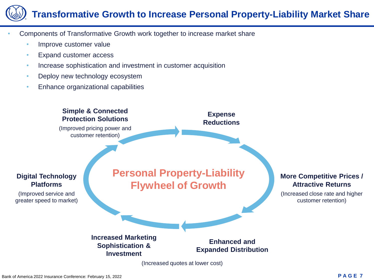### **Transformative Growth to Increase Personal Property-Liability Market Share**

- Components of Transformative Growth work together to increase market share
	- Improve customer value
	- Expand customer access
	- Increase sophistication and investment in customer acquisition
	- Deploy new technology ecosystem
	- Enhance organizational capabilities

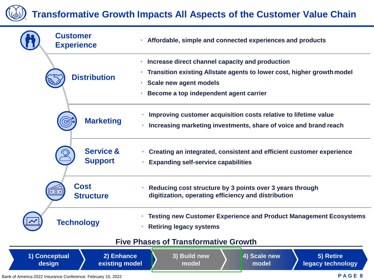# **Transformative Growth Impacts All Aspects of the Customer Value Chain**

|                                                                                                                                 | <b>Customer</b><br><b>Experience</b>   | Affordable, simple and connected experiences and products<br>$\bullet$                                             |  |  |  |  |
|---------------------------------------------------------------------------------------------------------------------------------|----------------------------------------|--------------------------------------------------------------------------------------------------------------------|--|--|--|--|
|                                                                                                                                 |                                        | Increase direct channel capacity and production<br>$\bullet$                                                       |  |  |  |  |
|                                                                                                                                 |                                        | Transition existing Allstate agents to lower cost, higher growth model                                             |  |  |  |  |
| <b>Distribution</b>                                                                                                             |                                        | Scale new agent models<br>$\bullet$                                                                                |  |  |  |  |
|                                                                                                                                 |                                        | Become a top independent agent carrier                                                                             |  |  |  |  |
| <b>Marketing</b>                                                                                                                |                                        | Improving customer acquisition costs relative to lifetime value<br>$\bullet$                                       |  |  |  |  |
|                                                                                                                                 |                                        | Increasing marketing investments, share of voice and brand reach                                                   |  |  |  |  |
|                                                                                                                                 | <b>Service &amp;</b><br><b>Support</b> | Creating an integrated, consistent and efficient customer experience<br><b>Expanding self-service capabilities</b> |  |  |  |  |
|                                                                                                                                 | <b>Cost</b><br><b>Structure</b>        | Reducing cost structure by 3 points over 3 years through<br>digitization, operating efficiency and distribution    |  |  |  |  |
| <b>Testing new Customer Experience and Product Management Ecosystems</b><br><b>Technology</b><br><b>Retiring legacy systems</b> |                                        |                                                                                                                    |  |  |  |  |
| <b>Five Phases of Transformative Growth</b>                                                                                     |                                        |                                                                                                                    |  |  |  |  |
| 1) Conceptual<br>design                                                                                                         | 2) Enhance<br>existing model           | 3) Build new<br>4) Scale new<br>5) Retire<br>legacy technology<br>model<br>model                                   |  |  |  |  |

Bank of America 2022 Insurance Conference: February 15, 2022 **P A G E 8**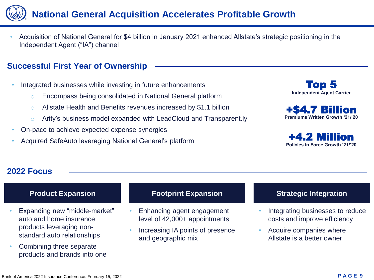#### **National General Acquisition Accelerates Profitable Growth**

• Acquisition of National General for \$4 billion in January 2021 enhanced Allstate's strategic positioning in the Independent Agent ("IA") channel

#### **Successful First Year of Ownership**

- Integrated businesses while investing in future enhancements
	- o Encompass being consolidated in National General platform
	- o Allstate Health and Benefits revenues increased by \$1.1 billion
	- o Arity's business model expanded with LeadCloud and Transparent.ly
- On-pace to achieve expected expense synergies
- Acquired SafeAuto leveraging National General's platform

![](_page_9_Picture_9.jpeg)

![](_page_9_Picture_10.jpeg)

![](_page_9_Picture_11.jpeg)

#### **2022 Focus**

- Expanding new "middle-market" auto and home insurance products leveraging nonstandard auto relationships
- Combining three separate products and brands into one

#### **Product Expansion Footprint Expansion Footprint Expansion Strategic Integration**

- Enhancing agent engagement level of 42,000+ appointments
- Increasing IA points of presence and geographic mix

- Integrating businesses to reduce costs and improve efficiency
- Acquire companies where Allstate is a better owner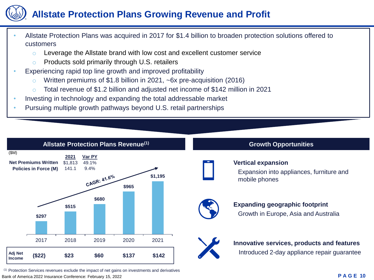## **Allstate Protection Plans Growing Revenue and Profit**

- Allstate Protection Plans was acquired in 2017 for \$1.4 billion to broaden protection solutions offered to customers
	- o Leverage the Allstate brand with low cost and excellent customer service
	- o Products sold primarily through U.S. retailers
- Experiencing rapid top line growth and improved profitability
	- $\degree$  Written premiums of \$1.8 billion in 2021,  $\degree$ 6x pre-acquisition (2016)
	- o Total revenue of \$1.2 billion and adjusted net income of \$142 million in 2021
- Investing in technology and expanding the total addressable market
- Pursuing multiple growth pathways beyond U.S. retail partnerships

![](_page_10_Figure_9.jpeg)

**Growth Opportunities**

**Vertical expansion** •Expansion into appliances, furniture and mobile phones

![](_page_10_Picture_12.jpeg)

**Expanding geographic footprint** •Growth in Europe, Asia and Australia

![](_page_10_Picture_14.jpeg)

**Innovative services, products and features** Introduced 2-day appliance repair guarantee

Bank of America 2022 Insurance Conference: February 15, 2022 **P A G E 10** (1) Protection Services revenues exclude the impact of net gains on investments and derivatives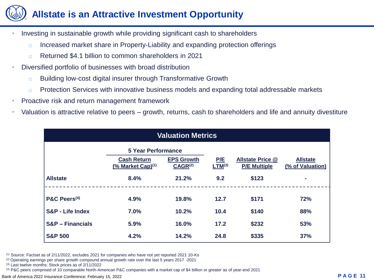# **Allstate is an Attractive Investment Opportunity**

- Investing in sustainable growth while providing significant cash to shareholders
	- o Increased market share in Property-Liability and expanding protection offerings
	- o Returned \$4.1 billion to common shareholders in 2021
- Diversified portfolio of businesses with broad distribution
	- o Building low-cost digital insurer through Transformative Growth
	- o Protection Services with innovative business models and expanding total addressable markets
- Proactive risk and return management framework
- Valuation is attractive relative to peers growth, returns, cash to shareholders and life and annuity divestiture

| <b>Valuation Metrics</b>    |                                                     |                                          |                           |                                                |                                     |  |  |  |  |
|-----------------------------|-----------------------------------------------------|------------------------------------------|---------------------------|------------------------------------------------|-------------------------------------|--|--|--|--|
|                             | <b>5 Year Performance</b>                           |                                          |                           |                                                |                                     |  |  |  |  |
|                             | <b>Cash Return</b><br>(% Market Cap) <sup>(1)</sup> | <b>EPS Growth</b><br>CAGR <sup>(2)</sup> | P/E<br>LTM <sup>(3)</sup> | <b>Allstate Price @</b><br><b>P/E Multiple</b> | <b>Allstate</b><br>(% of Valuation) |  |  |  |  |
| <b>Allstate</b>             | 8.4%                                                | 21.2%                                    | 9.2                       | \$123                                          | н                                   |  |  |  |  |
| $PAC$ Peers <sup>(4)</sup>  | 4.9%                                                | 19.8%                                    | 12.7                      | \$171                                          | 72%                                 |  |  |  |  |
| <b>S&amp;P</b> - Life Index | 7.0%                                                | 10.2%                                    | 10.4                      | \$140                                          | 88%                                 |  |  |  |  |
| <b>S&amp;P</b> – Financials | 5.9%                                                | 16.0%                                    | 17.2                      | \$232                                          | 53%                                 |  |  |  |  |
| <b>S&amp;P 500</b>          | 4.2%                                                | 14.2%                                    | 24.8                      | \$335                                          | 37%                                 |  |  |  |  |

(1) Source: Factset as of 2/11/2022, excludes 2021 for companies who have not yet reported 2021 10-Ks

(2) Operating earnings per share growth compound annual growth rate over the last 5 years 2017 -2021

(3) Last twelve months; Stock prices as of 2/11/2022

(4) P&C peers comprised of 10 comparable North-American P&C companies with a market cap of \$4 billion or greater as of year-end 2021

Bank of America 2022 Insurance Conference: February 15, 2022 **P A G E 11**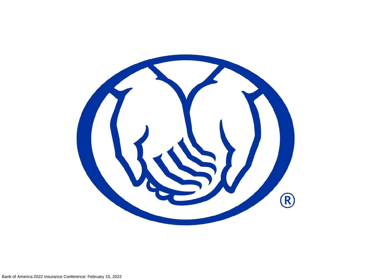![](_page_12_Picture_0.jpeg)